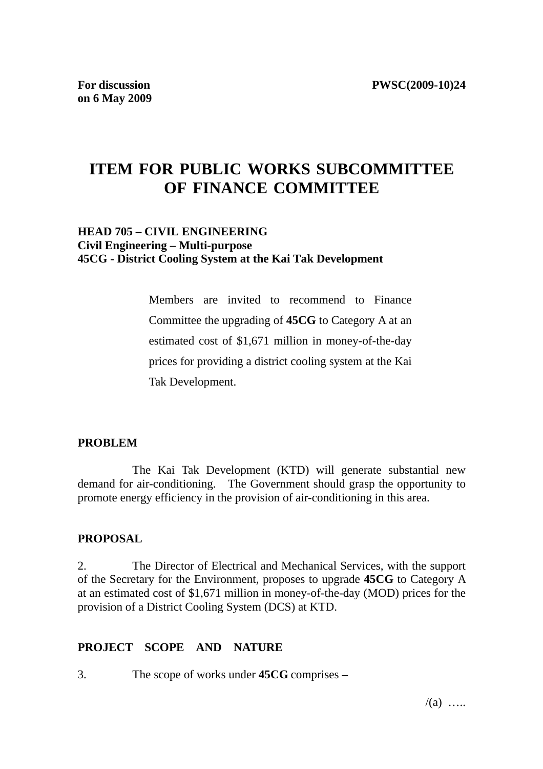# **ITEM FOR PUBLIC WORKS SUBCOMMITTEE OF FINANCE COMMITTEE**

## **HEAD 705 – CIVIL ENGINEERING Civil Engineering – Multi-purpose 45CG - District Cooling System at the Kai Tak Development**

Members are invited to recommend to Finance Committee the upgrading of **45CG** to Category A at an estimated cost of \$1,671 million in money-of-the-day prices for providing a district cooling system at the Kai Tak Development.

## **PROBLEM**

 The Kai Tak Development (KTD) will generate substantial new demand for air-conditioning. The Government should grasp the opportunity to promote energy efficiency in the provision of air-conditioning in this area.

## **PROPOSAL**

2. The Director of Electrical and Mechanical Services, with the support of the Secretary for the Environment, proposes to upgrade **45CG** to Category A at an estimated cost of \$1,671 million in money-of-the-day (MOD) prices for the provision of a District Cooling System (DCS) at KTD.

## **PROJECT SCOPE AND NATURE**

3. The scope of works under **45CG** comprises –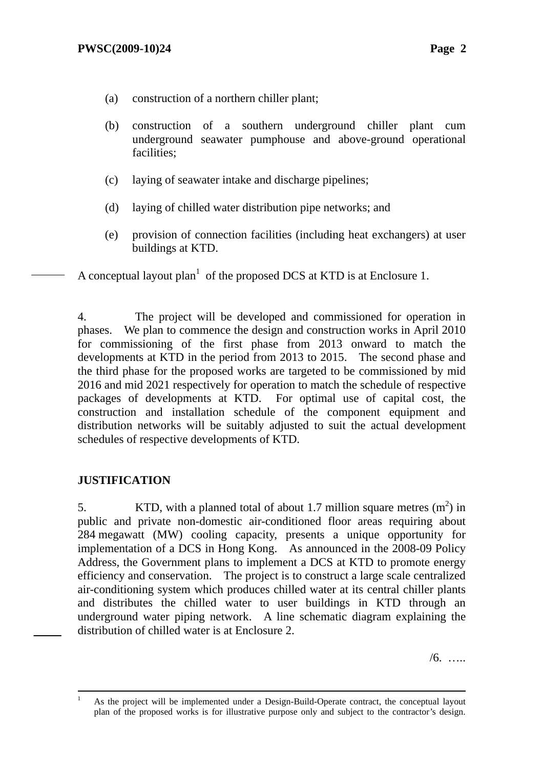- (a) construction of a northern chiller plant;
- (b) construction of a southern underground chiller plant cum underground seawater pumphouse and above-ground operational facilities;
- (c) laying of seawater intake and discharge pipelines;
- (d) laying of chilled water distribution pipe networks; and
- (e) provision of connection facilities (including heat exchangers) at user buildings at KTD.

A conceptual layout plan<sup>1</sup> of the proposed DCS at KTD is at Enclosure 1.

4. The project will be developed and commissioned for operation in phases. We plan to commence the design and construction works in April 2010 for commissioning of the first phase from 2013 onward to match the developments at KTD in the period from 2013 to 2015. The second phase and the third phase for the proposed works are targeted to be commissioned by mid 2016 and mid 2021 respectively for operation to match the schedule of respective packages of developments at KTD. For optimal use of capital cost, the construction and installation schedule of the component equipment and distribution networks will be suitably adjusted to suit the actual development schedules of respective developments of KTD.

# **JUSTIFICATION**

5. KTD, with a planned total of about 1.7 million square metres  $(m<sup>2</sup>)$  in public and private non-domestic air-conditioned floor areas requiring about 284 megawatt (MW) cooling capacity, presents a unique opportunity for implementation of a DCS in Hong Kong. As announced in the 2008-09 Policy Address, the Government plans to implement a DCS at KTD to promote energy efficiency and conservation. The project is to construct a large scale centralized air-conditioning system which produces chilled water at its central chiller plants and distributes the chilled water to user buildings in KTD through an underground water piping network. A line schematic diagram explaining the distribution of chilled water is at Enclosure 2.

/6. …..

 $\frac{1}{1}$ <sup>1</sup> As the project will be implemented under a Design-Build-Operate contract, the conceptual layout plan of the proposed works is for illustrative purpose only and subject to the contractor's design.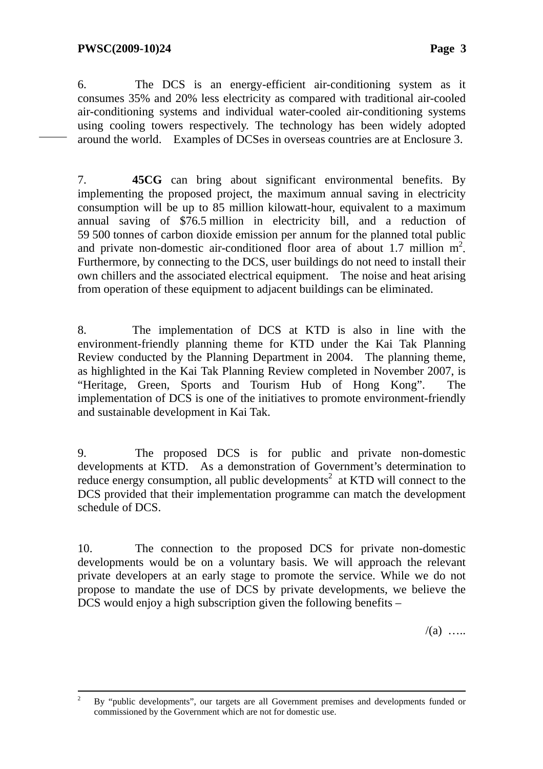6. The DCS is an energy-efficient air-conditioning system as it consumes 35% and 20% less electricity as compared with traditional air-cooled air-conditioning systems and individual water-cooled air-conditioning systems using cooling towers respectively. The technology has been widely adopted around the world. Examples of DCSes in overseas countries are at Enclosure 3.

7. **45CG** can bring about significant environmental benefits. By implementing the proposed project, the maximum annual saving in electricity consumption will be up to 85 million kilowatt-hour, equivalent to a maximum annual saving of \$76.5 million in electricity bill, and a reduction of 59 500 tonnes of carbon dioxide emission per annum for the planned total public and private non-domestic air-conditioned floor area of about 1.7 million  $m^2$ . Furthermore, by connecting to the DCS, user buildings do not need to install their own chillers and the associated electrical equipment. The noise and heat arising from operation of these equipment to adjacent buildings can be eliminated.

8. The implementation of DCS at KTD is also in line with the environment-friendly planning theme for KTD under the Kai Tak Planning Review conducted by the Planning Department in 2004. The planning theme, as highlighted in the Kai Tak Planning Review completed in November 2007, is "Heritage, Green, Sports and Tourism Hub of Hong Kong". The implementation of DCS is one of the initiatives to promote environment-friendly and sustainable development in Kai Tak.

9. The proposed DCS is for public and private non-domestic developments at KTD. As a demonstration of Government's determination to reduce energy consumption, all public developments<sup>2</sup> at KTD will connect to the DCS provided that their implementation programme can match the development schedule of DCS.

10. The connection to the proposed DCS for private non-domestic developments would be on a voluntary basis. We will approach the relevant private developers at an early stage to promote the service. While we do not propose to mandate the use of DCS by private developments, we believe the DCS would enjoy a high subscription given the following benefits –

 $/(a)$  …

 $\frac{1}{2}$  $By$  "public developments", our targets are all Government premises and developments funded or commissioned by the Government which are not for domestic use.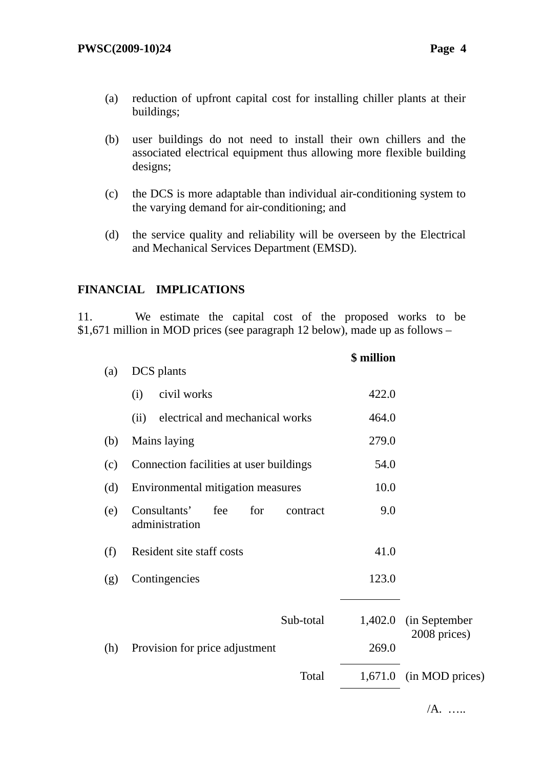- (a) reduction of upfront capital cost for installing chiller plants at their buildings;
- (b) user buildings do not need to install their own chillers and the associated electrical equipment thus allowing more flexible building designs;
- (c) the DCS is more adaptable than individual air-conditioning system to the varying demand for air-conditioning; and
- (d) the service quality and reliability will be overseen by the Electrical and Mechanical Services Department (EMSD).

## **FINANCIAL IMPLICATIONS**

11. We estimate the capital cost of the proposed works to be \$1,671 million in MOD prices (see paragraph 12 below), made up as follows –

|     |                                                          | \$ million |                               |
|-----|----------------------------------------------------------|------------|-------------------------------|
| (a) | DCS plants                                               |            |                               |
|     | civil works<br>(i)                                       | 422.0      |                               |
|     | electrical and mechanical works<br>(ii)                  | 464.0      |                               |
| (b) | Mains laying                                             | 279.0      |                               |
| (c) | Connection facilities at user buildings                  | 54.0       |                               |
| (d) | Environmental mitigation measures                        | 10.0       |                               |
| (e) | Consultants'<br>fee<br>for<br>contract<br>administration | 9.0        |                               |
| (f) | Resident site staff costs                                | 41.0       |                               |
| (g) | Contingencies                                            | 123.0      |                               |
|     | Sub-total                                                | 1,402.0    | (in September<br>2008 prices) |
| (h) | Provision for price adjustment                           | 269.0      |                               |
|     | Total                                                    |            | $1,671.0$ (in MOD prices)     |
|     |                                                          |            |                               |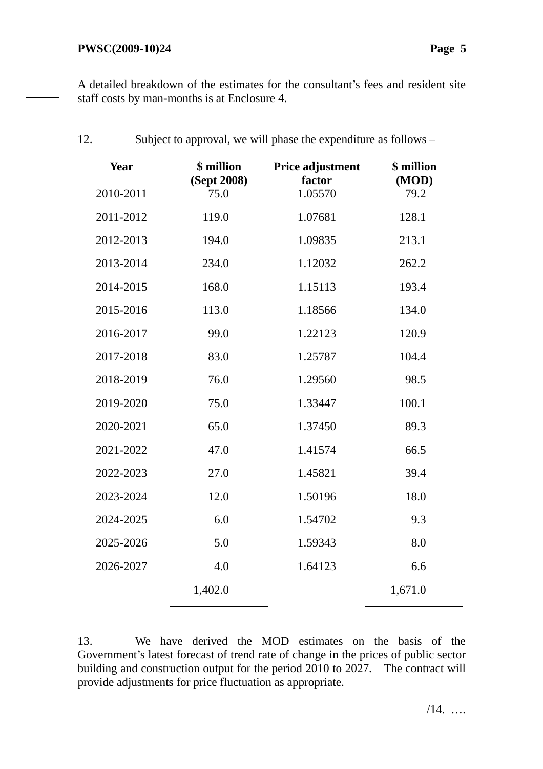A detailed breakdown of the estimates for the consultant's fees and resident site staff costs by man-months is at Enclosure 4.

| 12.       | Subject to approval, we will phase the expenditure as follows – |                            |                     |
|-----------|-----------------------------------------------------------------|----------------------------|---------------------|
| Year      | \$ million<br>(Sept 2008)                                       | Price adjustment<br>factor | \$ million<br>(MOD) |
| 2010-2011 | 75.0                                                            | 1.05570                    | 79.2                |
| 2011-2012 | 119.0                                                           | 1.07681                    | 128.1               |
| 2012-2013 | 194.0                                                           | 1.09835                    | 213.1               |
| 2013-2014 | 234.0                                                           | 1.12032                    | 262.2               |
| 2014-2015 | 168.0                                                           | 1.15113                    | 193.4               |
| 2015-2016 | 113.0                                                           | 1.18566                    | 134.0               |
| 2016-2017 | 99.0                                                            | 1.22123                    | 120.9               |
| 2017-2018 | 83.0                                                            | 1.25787                    | 104.4               |
| 2018-2019 | 76.0                                                            | 1.29560                    | 98.5                |
| 2019-2020 | 75.0                                                            | 1.33447                    | 100.1               |
| 2020-2021 | 65.0                                                            | 1.37450                    | 89.3                |
| 2021-2022 | 47.0                                                            | 1.41574                    | 66.5                |
| 2022-2023 | 27.0                                                            | 1.45821                    | 39.4                |
| 2023-2024 | 12.0                                                            | 1.50196                    | 18.0                |
| 2024-2025 | 6.0                                                             | 1.54702                    | 9.3                 |
| 2025-2026 | 5.0                                                             | 1.59343                    | 8.0                 |
| 2026-2027 | 4.0                                                             | 1.64123                    | 6.6                 |
|           | 1,402.0                                                         |                            | 1,671.0             |
|           |                                                                 |                            |                     |

13. We have derived the MOD estimates on the basis of the Government's latest forecast of trend rate of change in the prices of public sector building and construction output for the period 2010 to 2027. The contract will provide adjustments for price fluctuation as appropriate.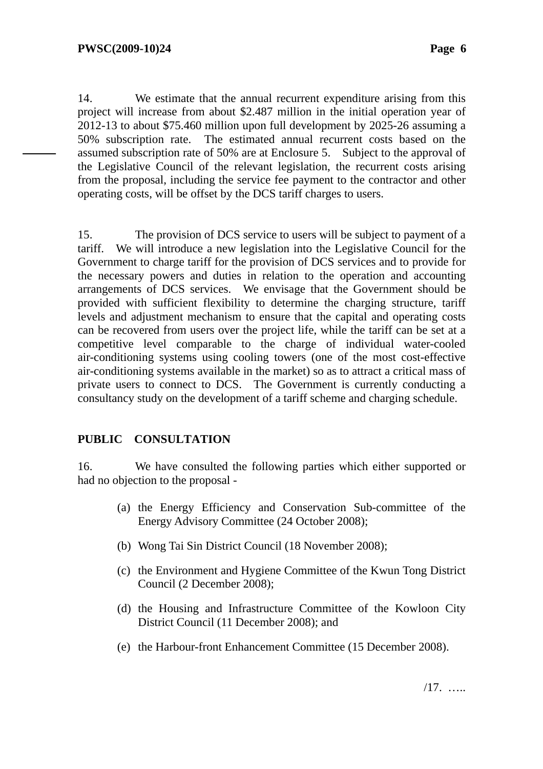14. We estimate that the annual recurrent expenditure arising from this project will increase from about \$2.487 million in the initial operation year of 2012-13 to about \$75.460 million upon full development by 2025-26 assuming a 50% subscription rate. The estimated annual recurrent costs based on the assumed subscription rate of 50% are at Enclosure 5. Subject to the approval of the Legislative Council of the relevant legislation, the recurrent costs arising from the proposal, including the service fee payment to the contractor and other operating costs, will be offset by the DCS tariff charges to users.

15. The provision of DCS service to users will be subject to payment of a tariff. We will introduce a new legislation into the Legislative Council for the Government to charge tariff for the provision of DCS services and to provide for the necessary powers and duties in relation to the operation and accounting arrangements of DCS services. We envisage that the Government should be provided with sufficient flexibility to determine the charging structure, tariff levels and adjustment mechanism to ensure that the capital and operating costs can be recovered from users over the project life, while the tariff can be set at a competitive level comparable to the charge of individual water-cooled air-conditioning systems using cooling towers (one of the most cost-effective air-conditioning systems available in the market) so as to attract a critical mass of private users to connect to DCS. The Government is currently conducting a consultancy study on the development of a tariff scheme and charging schedule.

## **PUBLIC CONSULTATION**

16. We have consulted the following parties which either supported or had no objection to the proposal -

- (a) the Energy Efficiency and Conservation Sub-committee of the Energy Advisory Committee (24 October 2008);
- (b) Wong Tai Sin District Council (18 November 2008);
- (c) the Environment and Hygiene Committee of the Kwun Tong District Council (2 December 2008);
- (d) the Housing and Infrastructure Committee of the Kowloon City District Council (11 December 2008); and
- (e) the Harbour-front Enhancement Committee (15 December 2008).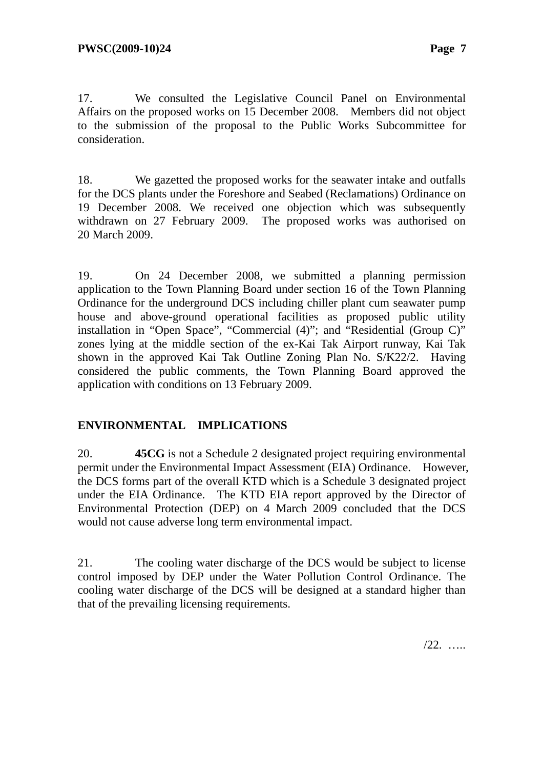17. We consulted the Legislative Council Panel on Environmental Affairs on the proposed works on 15 December 2008. Members did not object to the submission of the proposal to the Public Works Subcommittee for consideration.

18. We gazetted the proposed works for the seawater intake and outfalls for the DCS plants under the Foreshore and Seabed (Reclamations) Ordinance on 19 December 2008. We received one objection which was subsequently withdrawn on 27 February 2009. The proposed works was authorised on 20 March 2009.

19. On 24 December 2008, we submitted a planning permission application to the Town Planning Board under section 16 of the Town Planning Ordinance for the underground DCS including chiller plant cum seawater pump house and above-ground operational facilities as proposed public utility installation in "Open Space", "Commercial (4)"; and "Residential (Group C)" zones lying at the middle section of the ex-Kai Tak Airport runway, Kai Tak shown in the approved Kai Tak Outline Zoning Plan No. S/K22/2. Having considered the public comments, the Town Planning Board approved the application with conditions on 13 February 2009.

# **ENVIRONMENTAL IMPLICATIONS**

20. **45CG** is not a Schedule 2 designated project requiring environmental permit under the Environmental Impact Assessment (EIA) Ordinance. However, the DCS forms part of the overall KTD which is a Schedule 3 designated project under the EIA Ordinance. The KTD EIA report approved by the Director of Environmental Protection (DEP) on 4 March 2009 concluded that the DCS would not cause adverse long term environmental impact.

21. The cooling water discharge of the DCS would be subject to license control imposed by DEP under the Water Pollution Control Ordinance. The cooling water discharge of the DCS will be designed at a standard higher than that of the prevailing licensing requirements.

/22. …..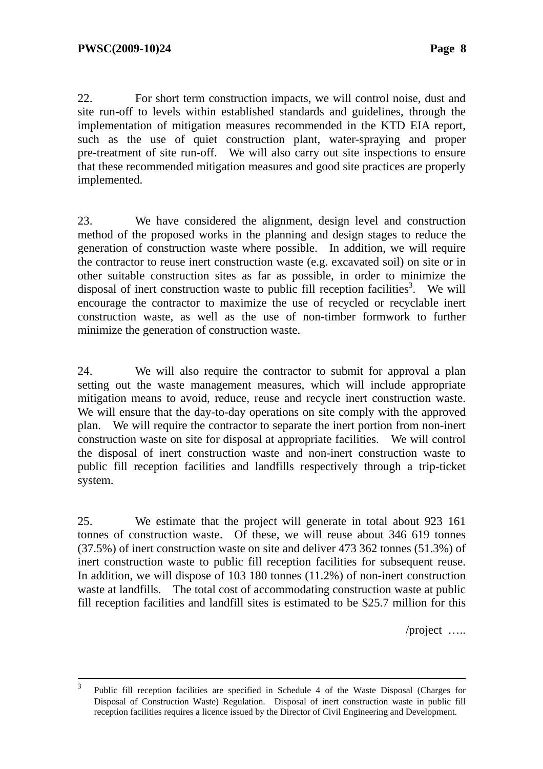22. For short term construction impacts, we will control noise, dust and site run-off to levels within established standards and guidelines, through the implementation of mitigation measures recommended in the KTD EIA report, such as the use of quiet construction plant, water-spraying and proper pre-treatment of site run-off. We will also carry out site inspections to ensure that these recommended mitigation measures and good site practices are properly implemented.

23. We have considered the alignment, design level and construction method of the proposed works in the planning and design stages to reduce the generation of construction waste where possible. In addition, we will require the contractor to reuse inert construction waste (e.g. excavated soil) on site or in other suitable construction sites as far as possible, in order to minimize the disposal of inert construction waste to public fill reception facilities<sup>3</sup>. We will encourage the contractor to maximize the use of recycled or recyclable inert construction waste, as well as the use of non-timber formwork to further minimize the generation of construction waste.

24. We will also require the contractor to submit for approval a plan setting out the waste management measures, which will include appropriate mitigation means to avoid, reduce, reuse and recycle inert construction waste. We will ensure that the day-to-day operations on site comply with the approved plan. We will require the contractor to separate the inert portion from non-inert construction waste on site for disposal at appropriate facilities. We will control the disposal of inert construction waste and non-inert construction waste to public fill reception facilities and landfills respectively through a trip-ticket system.

25. We estimate that the project will generate in total about 923 161 tonnes of construction waste. Of these, we will reuse about 346 619 tonnes (37.5%) of inert construction waste on site and deliver 473 362 tonnes (51.3%) of inert construction waste to public fill reception facilities for subsequent reuse. In addition, we will dispose of 103 180 tonnes (11.2%) of non-inert construction waste at landfills. The total cost of accommodating construction waste at public fill reception facilities and landfill sites is estimated to be \$25.7 million for this

/project …..

 <sup>3</sup> Public fill reception facilities are specified in Schedule 4 of the Waste Disposal (Charges for Disposal of Construction Waste) Regulation. Disposal of inert construction waste in public fill reception facilities requires a licence issued by the Director of Civil Engineering and Development.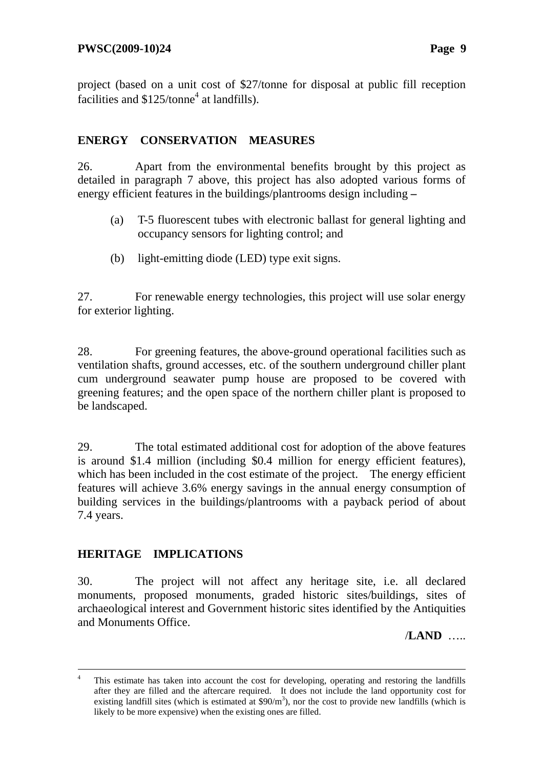project (based on a unit cost of \$27/tonne for disposal at public fill reception facilities and  $$125/tonne<sup>4</sup>$  at landfills).

# **ENERGY CONSERVATION MEASURES**

26. Apart from the environmental benefits brought by this project as detailed in paragraph 7 above, this project has also adopted various forms of energy efficient features in the buildings/plantrooms design including **–**

- (a) T-5 fluorescent tubes with electronic ballast for general lighting and occupancy sensors for lighting control; and
- (b) light-emitting diode (LED) type exit signs.

27. For renewable energy technologies, this project will use solar energy for exterior lighting.

28. For greening features, the above-ground operational facilities such as ventilation shafts, ground accesses, etc. of the southern underground chiller plant cum underground seawater pump house are proposed to be covered with greening features; and the open space of the northern chiller plant is proposed to be landscaped.

29. The total estimated additional cost for adoption of the above features is around \$1.4 million (including \$0.4 million for energy efficient features), which has been included in the cost estimate of the project. The energy efficient features will achieve 3.6% energy savings in the annual energy consumption of building services in the buildings/plantrooms with a payback period of about 7.4 years.

# **HERITAGE IMPLICATIONS**

1

30. The project will not affect any heritage site, i.e. all declared monuments, proposed monuments, graded historic sites/buildings, sites of archaeological interest and Government historic sites identified by the Antiquities and Monuments Office.

/**LAND** …..

<sup>4</sup> This estimate has taken into account the cost for developing, operating and restoring the landfills after they are filled and the aftercare required. It does not include the land opportunity cost for existing landfill sites (which is estimated at  $$90/m^3$ ), nor the cost to provide new landfills (which is likely to be more expensive) when the existing ones are filled.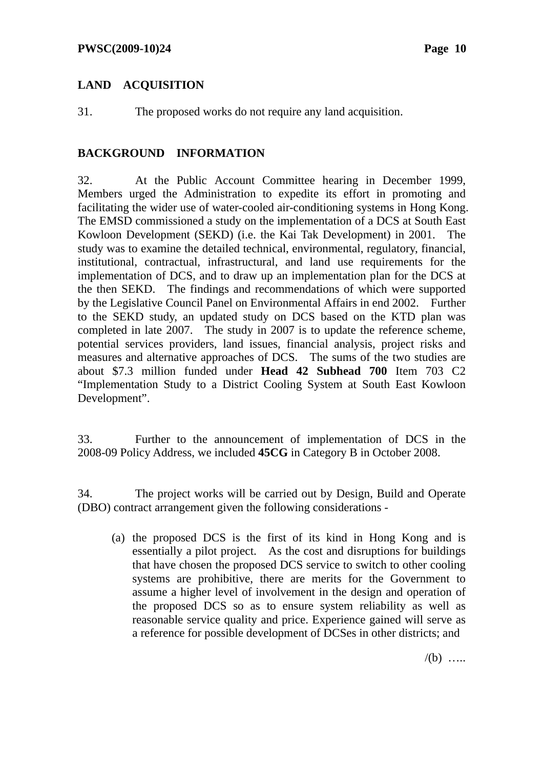# **LAND ACQUISITION**

31. The proposed works do not require any land acquisition.

## **BACKGROUND INFORMATION**

32. At the Public Account Committee hearing in December 1999, Members urged the Administration to expedite its effort in promoting and facilitating the wider use of water-cooled air-conditioning systems in Hong Kong. The EMSD commissioned a study on the implementation of a DCS at South East Kowloon Development (SEKD) (i.e. the Kai Tak Development) in 2001. The study was to examine the detailed technical, environmental, regulatory, financial, institutional, contractual, infrastructural, and land use requirements for the implementation of DCS, and to draw up an implementation plan for the DCS at the then SEKD. The findings and recommendations of which were supported by the Legislative Council Panel on Environmental Affairs in end 2002. Further to the SEKD study, an updated study on DCS based on the KTD plan was completed in late 2007. The study in 2007 is to update the reference scheme, potential services providers, land issues, financial analysis, project risks and measures and alternative approaches of DCS. The sums of the two studies are about \$7.3 million funded under **Head 42 Subhead 700** Item 703 C2 "Implementation Study to a District Cooling System at South East Kowloon Development".

33. Further to the announcement of implementation of DCS in the 2008-09 Policy Address, we included **45CG** in Category B in October 2008.

34. The project works will be carried out by Design, Build and Operate (DBO) contract arrangement given the following considerations -

(a) the proposed DCS is the first of its kind in Hong Kong and is essentially a pilot project. As the cost and disruptions for buildings that have chosen the proposed DCS service to switch to other cooling systems are prohibitive, there are merits for the Government to assume a higher level of involvement in the design and operation of the proposed DCS so as to ensure system reliability as well as reasonable service quality and price. Experience gained will serve as a reference for possible development of DCSes in other districts; and

 $/(b)$  …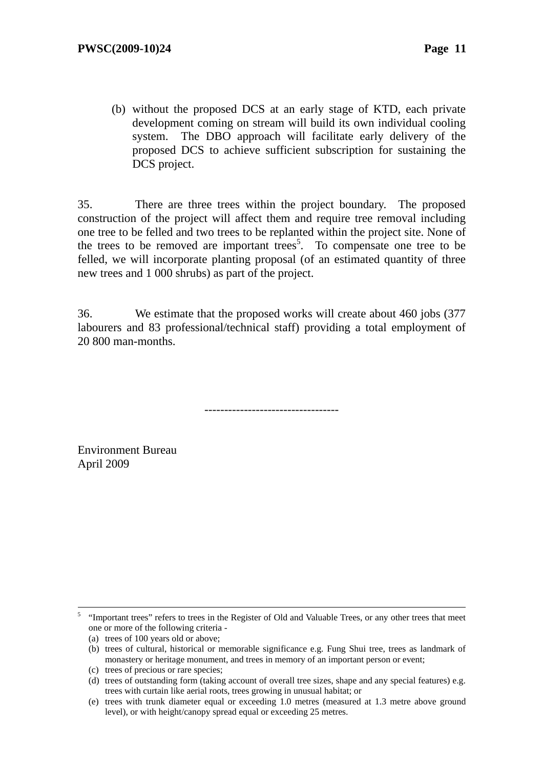(b) without the proposed DCS at an early stage of KTD, each private development coming on stream will build its own individual cooling system. The DBO approach will facilitate early delivery of the proposed DCS to achieve sufficient subscription for sustaining the DCS project.

35. There are three trees within the project boundary. The proposed construction of the project will affect them and require tree removal including one tree to be felled and two trees to be replanted within the project site. None of the trees to be removed are important trees<sup>5</sup>. To compensate one tree to be felled, we will incorporate planting proposal (of an estimated quantity of three new trees and 1 000 shrubs) as part of the project.

36. We estimate that the proposed works will create about 460 jobs (377 labourers and 83 professional/technical staff) providing a total employment of 20 800 man-months.

----------------------------------

Environment Bureau April 2009

 $\frac{1}{5}$  "Important trees" refers to trees in the Register of Old and Valuable Trees, or any other trees that meet one or more of the following criteria -

<sup>(</sup>a) trees of 100 years old or above;

<sup>(</sup>b) trees of cultural, historical or memorable significance e.g. Fung Shui tree, trees as landmark of monastery or heritage monument, and trees in memory of an important person or event;

<sup>(</sup>c) trees of precious or rare species;

<sup>(</sup>d) trees of outstanding form (taking account of overall tree sizes, shape and any special features) e.g. trees with curtain like aerial roots, trees growing in unusual habitat; or

<sup>(</sup>e) trees with trunk diameter equal or exceeding 1.0 metres (measured at 1.3 metre above ground level), or with height/canopy spread equal or exceeding 25 metres.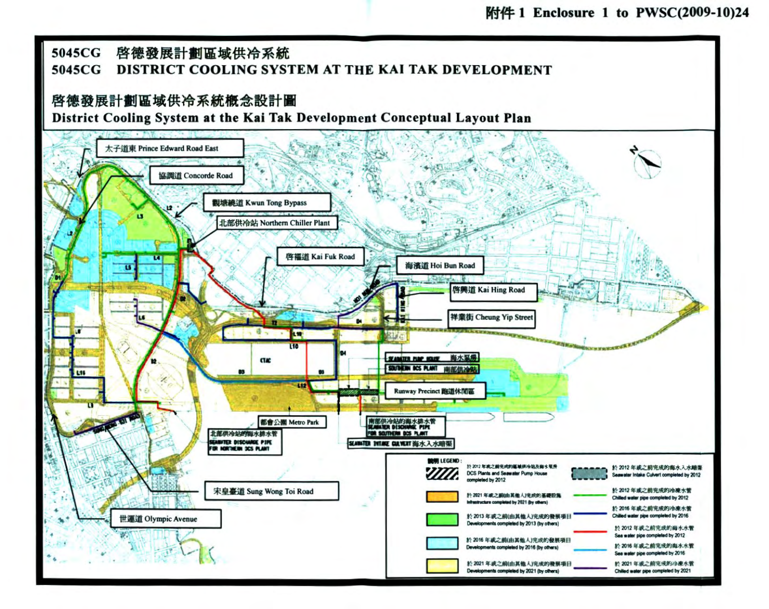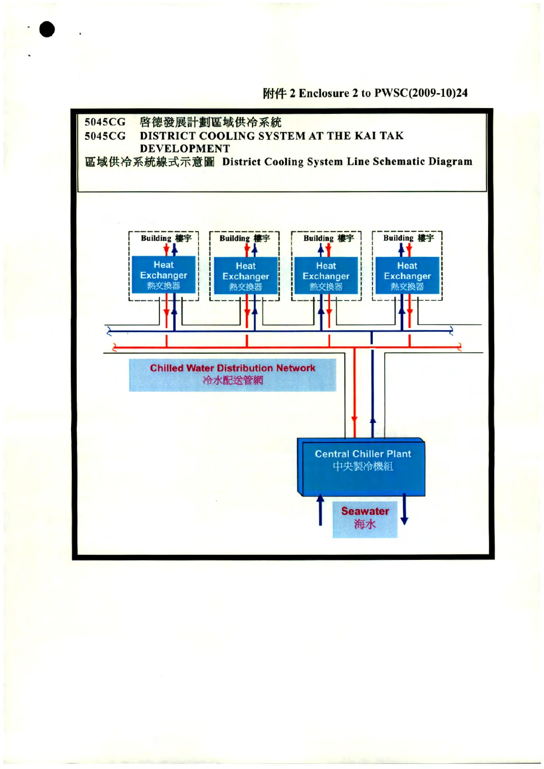附件 2 Enclosure 2 to PWSC(2009-10)24

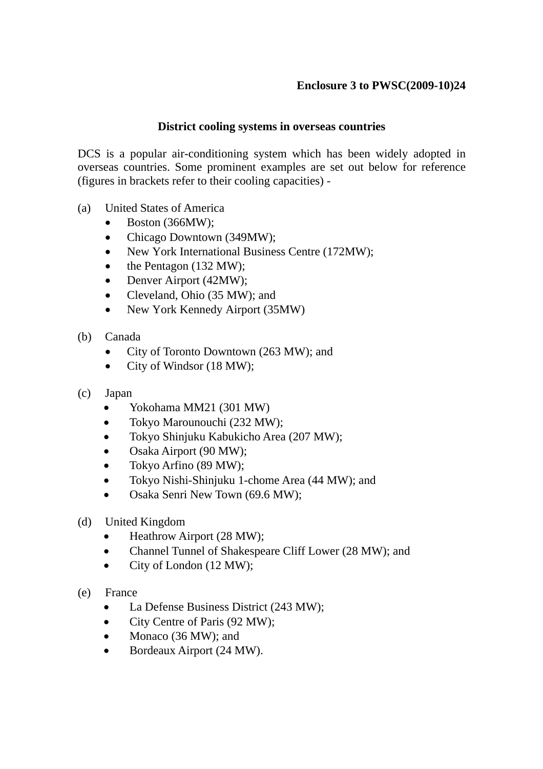# **Enclosure 3 to PWSC(2009-10)24**

#### **District cooling systems in overseas countries**

DCS is a popular air-conditioning system which has been widely adopted in overseas countries. Some prominent examples are set out below for reference (figures in brackets refer to their cooling capacities) -

- (a) United States of America
	- Boston (366MW);
	- Chicago Downtown (349MW);
	- New York International Business Centre (172MW);
	- the Pentagon (132 MW);
	- Denver Airport (42MW);
	- Cleveland, Ohio (35 MW); and
	- New York Kennedy Airport (35MW)
- (b) Canada
	- City of Toronto Downtown (263 MW); and
	- City of Windsor (18 MW);
- (c) Japan
	- Yokohama MM21 (301 MW)
	- Tokyo Marounouchi (232 MW);
	- Tokyo Shinjuku Kabukicho Area (207 MW);
	- Osaka Airport (90 MW);
	- Tokyo Arfino (89 MW);
	- Tokyo Nishi-Shinjuku 1-chome Area (44 MW); and
	- Osaka Senri New Town (69.6 MW);
- (d) United Kingdom
	- Heathrow Airport (28 MW);
	- Channel Tunnel of Shakespeare Cliff Lower (28 MW); and
	- City of London (12 MW):
- (e) France
	- La Defense Business District (243 MW);
	- City Centre of Paris (92 MW);
	- Monaco (36 MW); and
	- Bordeaux Airport (24 MW).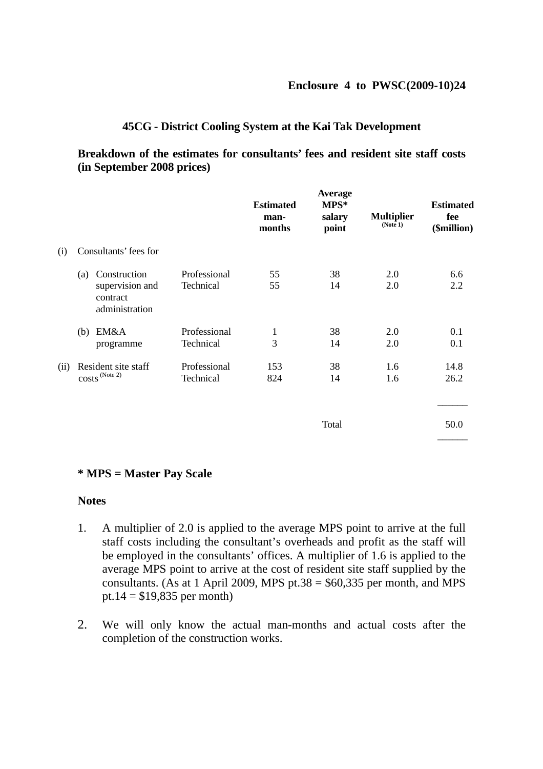#### **45CG - District Cooling System at the Kai Tak Development**

#### **Breakdown of the estimates for consultants' fees and resident site staff costs (in September 2008 prices)**

|      |                                                                      |                           | <b>Estimated</b><br>man-<br>months | <b>Average</b><br>MPS*<br>salary<br>point | <b>Multiplier</b><br>(Note 1) | <b>Estimated</b><br>fee<br>(\$million) |
|------|----------------------------------------------------------------------|---------------------------|------------------------------------|-------------------------------------------|-------------------------------|----------------------------------------|
| (i)  | Consultants' fees for                                                |                           |                                    |                                           |                               |                                        |
|      | Construction<br>(a)<br>supervision and<br>contract<br>administration | Professional<br>Technical | 55<br>55                           | 38<br>14                                  | 2.0<br>2.0                    | 6.6<br>2.2                             |
|      | EM&A<br>(b)<br>programme                                             | Professional<br>Technical | $\mathbf{1}$<br>3                  | 38<br>14                                  | 2.0<br>2.0                    | 0.1<br>0.1                             |
| (ii) | Resident site staff<br>$costs^{(Note 2)}$                            | Professional<br>Technical | 153<br>824                         | 38<br>14                                  | 1.6<br>1.6                    | 14.8<br>26.2                           |
|      |                                                                      |                           |                                    | Total                                     |                               | 50.0                                   |

#### **\* MPS = Master Pay Scale**

#### **Notes**

- 1. A multiplier of 2.0 is applied to the average MPS point to arrive at the full staff costs including the consultant's overheads and profit as the staff will be employed in the consultants' offices. A multiplier of 1.6 is applied to the average MPS point to arrive at the cost of resident site staff supplied by the consultants. (As at 1 April 2009, MPS pt.38 =  $$60,335$  per month, and MPS pt.14 =  $$19,835$  per month)
- 2. We will only know the actual man-months and actual costs after the completion of the construction works.